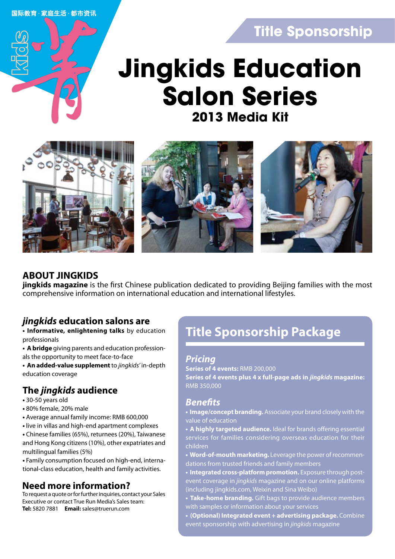国际教育·家庭生活·都市资讯

# **Title Sponsorship**

# **2013 Media Kit Jingkids Education Salon Series**



### **ABOUT JINGKIDS**

**jingkids magazine** is the first Chinese publication dedicated to providing Beijing families with the most comprehensive information on international education and international lifestyles.

### *jingkids* **education salons are**

**• Informative, enlightening talks** by education professionals

**• A bridge** giving parents and education professionals the opportunity to meet face-to-face

**• An added-value supplement** to *jingkids'* in-depth education coverage

## **The** *jingkids* **audience**

- 30-50 years old
- 80% female, 20% male
- Average annual family income: RMB 600,000
- live in villas and high-end apartment complexes

**•** Chinese families (65%), returnees (20%), Taiwanese and Hong Kong citizens (10%), other expatriates and multilingual families (5%)

**•** Family consumption focused on high-end, international-class education, health and family activities.

### **Need more information?**

To request a quote or for further inquiries, contact your Sales Executive or contact True Run Media's Sales team: **Tel:** 5820 7881 **Email:** sales@truerun.com

# **Title Sponsorship Package**

### *Pricing*

**Series of 4 events:** RMB 200,000 **Series of 4 events plus 4 x full-page ads in** *jingkids* **magazine:**  RMB 350,000

### *Benefits*

**• Image/concept branding.** Associate your brand closely with the value of education

- **A highly targeted audience.** Ideal for brands offering essential services for families considering overseas education for their children
- **Word-of-mouth marketing.** Leverage the power of recommendations from trusted friends and family members
- **Integrated cross-platform promotion.** Exposure through postevent coverage in *jingkids* magazine and on our online platforms (including jingkids.com, Weixin and Sina Weibo)
- **Take-home branding.** Gift bags to provide audience members with samples or information about your services
- **(Optional) Integrated event + advertising package.** Combine event sponsorship with advertising in *jingkids* magazine